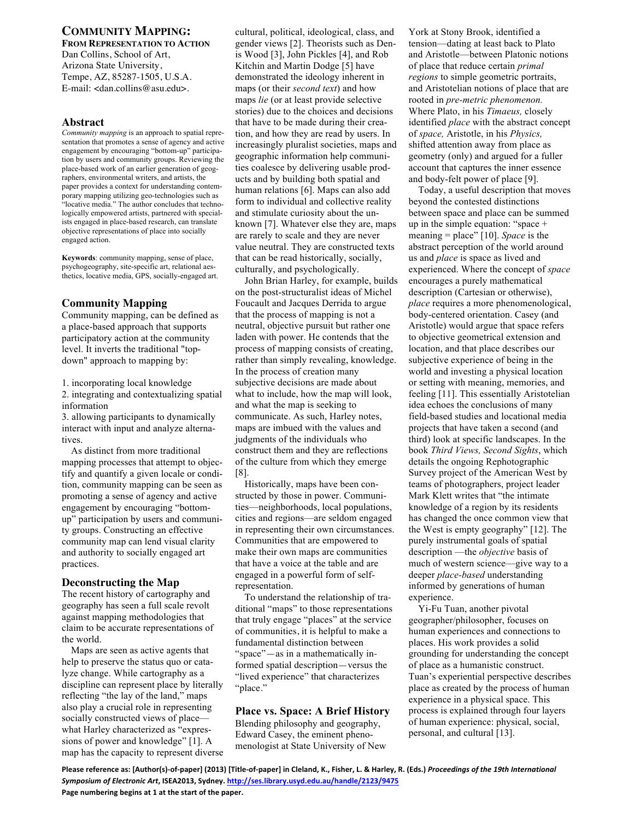## **COMMUNITY MAPPING: FROM REPRESENTATION TO ACTION**

Dan Collins, School of Art, Arizona State University, Tempe, AZ, 85287-1505, U.S.A. E-mail: <dan.collins@asu.edu>.

## **Abstract**

*Community mapping* is an approach to spatial representation that promotes a sense of agency and active engagement by encouraging "bottom-up" participation by users and community groups. Reviewing the place-based work of an earlier generation of geographers, environmental writers, and artists, the paper provides a context for understanding contemporary mapping utilizing geo-technologies such as "locative media." The author concludes that technologically empowered artists, partnered with specialists engaged in place-based research, can translate objective representations of place into socially engaged action.

**Keywords**: community mapping, sense of place, psychogeography, site-specific art, relational aesthetics, locative media, GPS, socially-engaged art.

# **Community Mapping**

Community mapping, can be defined as a place-based approach that supports participatory action at the community level. It inverts the traditional "topdown" approach to mapping by:

1. incorporating local knowledge

2. integrating and contextualizing spatial information

3. allowing participants to dynamically interact with input and analyze alternatives.

As distinct from more traditional mapping processes that attempt to objectify and quantify a given locale or condition, community mapping can be seen as promoting a sense of agency and active engagement by encouraging "bottomup" participation by users and community groups. Constructing an effective community map can lend visual clarity and authority to socially engaged art practices.

# **Deconstructing the Map**

The recent history of cartography and geography has seen a full scale revolt against mapping methodologies that claim to be accurate representations of the world.

Maps are seen as active agents that help to preserve the status quo or catalyze change. While cartography as a discipline can represent place by literally reflecting "the lay of the land," maps also play a crucial role in representing socially constructed views of place what Harley characterized as "expressions of power and knowledge" [1]. A map has the capacity to represent diverse

cultural, political, ideological, class, and gender views [2]. Theorists such as Denis Wood [3], John Pickles [4], and Rob Kitchin and Martin Dodge [5] have demonstrated the ideology inherent in maps (or their *second text*) and how maps *lie* (or at least provide selective stories) due to the choices and decisions that have to be made during their creation, and how they are read by users. In increasingly pluralist societies, maps and geographic information help communities coalesce by delivering usable products and by building both spatial and human relations [6]. Maps can also add form to individual and collective reality and stimulate curiosity about the unknown [7]. Whatever else they are, maps are rarely to scale and they are never value neutral. They are constructed texts that can be read historically, socially, culturally, and psychologically.

John Brian Harley, for example, builds on the post-structuralist ideas of Michel Foucault and Jacques Derrida to argue that the process of mapping is not a neutral, objective pursuit but rather one laden with power. He contends that the process of mapping consists of creating, rather than simply revealing, knowledge. In the process of creation many subjective decisions are made about what to include, how the map will look, and what the map is seeking to communicate. As such, Harley notes, maps are imbued with the values and judgments of the individuals who construct them and they are reflections of the culture from which they emerge [8].

Historically, maps have been constructed by those in power. Communities—neighborhoods, local populations, cities and regions—are seldom engaged in representing their own circumstances. Communities that are empowered to make their own maps are communities that have a voice at the table and are engaged in a powerful form of selfrepresentation.

To understand the relationship of traditional "maps" to those representations that truly engage "places" at the service of communities, it is helpful to make a fundamental distinction between "space"—as in a mathematically informed spatial description—versus the "lived experience" that characterizes "place."

# **Place vs. Space: A Brief History**

Blending philosophy and geography, Edward Casey, the eminent phenomenologist at State University of New York at Stony Brook, identified a tension—dating at least back to Plato and Aristotle—between Platonic notions of place that reduce certain *primal regions* to simple geometric portraits, and Aristotelian notions of place that are rooted in *pre-metric phenomenon.* Where Plato, in his *Timaeus,* closely identified *place* with the abstract concept of *space,* Aristotle, in his *Physics,* shifted attention away from place as geometry (only) and argued for a fuller account that captures the inner essence and body-felt power of place [9].

Today, a useful description that moves beyond the contested distinctions between space and place can be summed up in the simple equation: "space + meaning = place" [10]. *Space* is the abstract perception of the world around us and *place* is space as lived and experienced. Where the concept of *space* encourages a purely mathematical description (Cartesian or otherwise), *place* requires a more phenomenological, body-centered orientation. Casey (and Aristotle) would argue that space refers to objective geometrical extension and location, and that place describes our subjective experience of being in the world and investing a physical location or setting with meaning, memories, and feeling [11]. This essentially Aristotelian idea echoes the conclusions of many field-based studies and locational media projects that have taken a second (and third) look at specific landscapes. In the book *Third Views, Second Sights*, which details the ongoing Rephotographic Survey project of the American West by teams of photographers, project leader Mark Klett writes that "the intimate knowledge of a region by its residents has changed the once common view that the West is empty geography" [12]. The purely instrumental goals of spatial description —the *objective* basis of much of western science—give way to a deeper *place-based* understanding informed by generations of human experience.

Yi-Fu Tuan, another pivotal geographer/philosopher, focuses on human experiences and connections to places. His work provides a solid grounding for understanding the concept of place as a humanistic construct. Tuan's experiential perspective describes place as created by the process of human experience in a physical space. This process is explained through four layers of human experience: physical, social, personal, and cultural [13].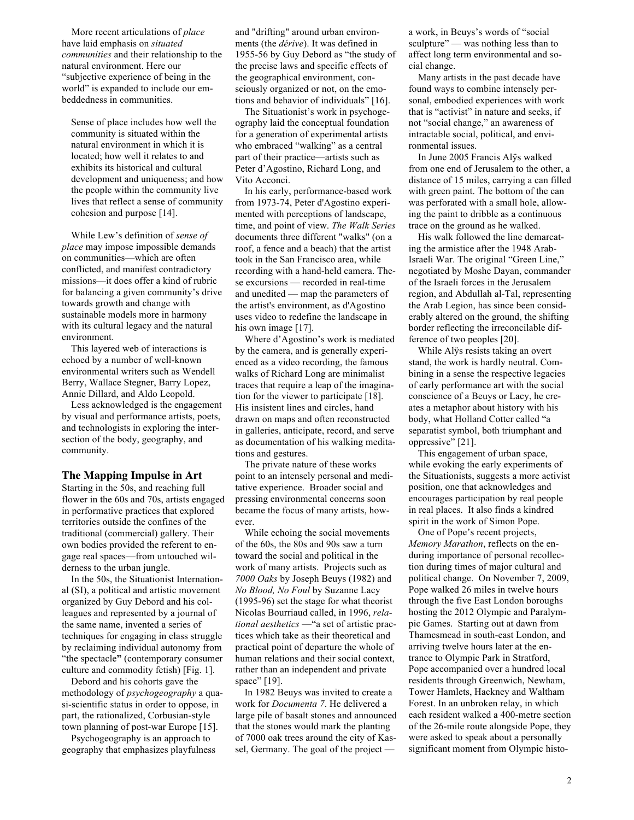More recent articulations of *place* have laid emphasis on *situated communities* and their relationship to the natural environment. Here our "subjective experience of being in the world" is expanded to include our embeddedness in communities.

Sense of place includes how well the community is situated within the natural environment in which it is located; how well it relates to and exhibits its historical and cultural development and uniqueness; and how the people within the community live lives that reflect a sense of community cohesion and purpose [14].

While Lew's definition of *sense of place* may impose impossible demands on communities—which are often conflicted, and manifest contradictory missions—it does offer a kind of rubric for balancing a given community's drive towards growth and change with sustainable models more in harmony with its cultural legacy and the natural environment.

This layered web of interactions is echoed by a number of well-known environmental writers such as Wendell Berry, Wallace Stegner, Barry Lopez, Annie Dillard, and Aldo Leopold.

Less acknowledged is the engagement by visual and performance artists, poets, and technologists in exploring the intersection of the body, geography, and community.

#### **The Mapping Impulse in Art**

Starting in the 50s, and reaching full flower in the 60s and 70s, artists engaged in performative practices that explored territories outside the confines of the traditional (commercial) gallery. Their own bodies provided the referent to engage real spaces—from untouched wilderness to the urban jungle.

In the 50s, the Situationist International (SI), a political and artistic movement organized by Guy Debord and his colleagues and represented by a journal of the same name, invented a series of techniques for engaging in class struggle by reclaiming individual autonomy from "the spectacle**"** (contemporary consumer culture and commodity fetish) [Fig. 1].

Debord and his cohorts gave the methodology of *psychogeography* a quasi-scientific status in order to oppose, in part, the rationalized, Corbusian-style town planning of post-war Europe [15].

Psychogeography is an approach to geography that emphasizes playfulness and "drifting" around urban environments (the *dérive*). It was defined in 1955-56 by Guy Debord as "the study of the precise laws and specific effects of the geographical environment, consciously organized or not, on the emotions and behavior of individuals" [16].

The Situationist's work in psychogeography laid the conceptual foundation for a generation of experimental artists who embraced "walking" as a central part of their practice—artists such as Peter d'Agostino, Richard Long, and Vito Acconci.

In his early, performance-based work from 1973-74, Peter d'Agostino experimented with perceptions of landscape, time, and point of view. *The Walk Series* documents three different "walks" (on a roof, a fence and a beach) that the artist took in the San Francisco area, while recording with a hand-held camera. These excursions — recorded in real-time and unedited — map the parameters of the artist's environment, as d'Agostino uses video to redefine the landscape in his own image [17].

Where d'Agostino's work is mediated by the camera, and is generally experienced as a video recording, the famous walks of Richard Long are minimalist traces that require a leap of the imagination for the viewer to participate [18]. His insistent lines and circles, hand drawn on maps and often reconstructed in galleries, anticipate, record, and serve as documentation of his walking meditations and gestures.

The private nature of these works point to an intensely personal and meditative experience. Broader social and pressing environmental concerns soon became the focus of many artists, however.

While echoing the social movements of the 60s, the 80s and 90s saw a turn toward the social and political in the work of many artists. Projects such as *7000 Oaks* by Joseph Beuys (1982) and *No Blood, No Foul* by Suzanne Lacy (1995-96) set the stage for what theorist Nicolas Bourriaud called, in 1996, *relational aesthetics* —"a set of artistic practices which take as their theoretical and practical point of departure the whole of human relations and their social context, rather than an independent and private space" [19].

In 1982 Beuys was invited to create a work for *Documenta 7*. He delivered a large pile of basalt stones and announced that the stones would mark the planting of 7000 oak trees around the city of Kassel, Germany. The goal of the project —

a work, in Beuys's words of "social sculpture" — was nothing less than to affect long term environmental and social change.

Many artists in the past decade have found ways to combine intensely personal, embodied experiences with work that is "activist" in nature and seeks, if not "social change," an awareness of intractable social, political, and environmental issues.

In June 2005 Francis Alÿs walked from one end of Jerusalem to the other, a distance of 15 miles, carrying a can filled with green paint. The bottom of the can was perforated with a small hole, allowing the paint to dribble as a continuous trace on the ground as he walked.

His walk followed the line demarcating the armistice after the 1948 Arab-Israeli War. The original "Green Line," negotiated by Moshe Dayan, commander of the Israeli forces in the Jerusalem region, and Abdullah al-Tal, representing the Arab Legion, has since been considerably altered on the ground, the shifting border reflecting the irreconcilable difference of two peoples [20].

While Alÿs resists taking an overt stand, the work is hardly neutral. Combining in a sense the respective legacies of early performance art with the social conscience of a Beuys or Lacy, he creates a metaphor about history with his body, what Holland Cotter called "a separatist symbol, both triumphant and oppressive" [21].

This engagement of urban space, while evoking the early experiments of the Situationists, suggests a more activist position, one that acknowledges and encourages participation by real people in real places. It also finds a kindred spirit in the work of Simon Pope.

One of Pope's recent projects, *Memory Marathon*, reflects on the enduring importance of personal recollection during times of major cultural and political change. On November 7, 2009, Pope walked 26 miles in twelve hours through the five East London boroughs hosting the 2012 Olympic and Paralympic Games. Starting out at dawn from Thamesmead in south-east London, and arriving twelve hours later at the entrance to Olympic Park in Stratford, Pope accompanied over a hundred local residents through Greenwich, Newham, Tower Hamlets, Hackney and Waltham Forest. In an unbroken relay, in which each resident walked a 400-metre section of the 26-mile route alongside Pope, they were asked to speak about a personally significant moment from Olympic histo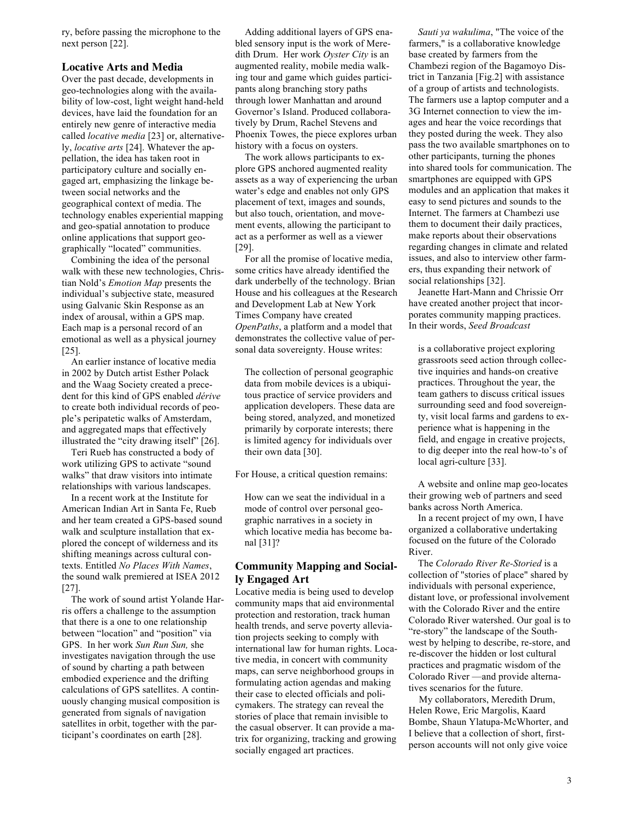ry, before passing the microphone to the next person [22].

## **Locative Arts and Media**

Over the past decade, developments in geo-technologies along with the availability of low-cost, light weight hand-held devices, have laid the foundation for an entirely new genre of interactive media called *locative media* [23] or, alternatively, *locative arts* [24]. Whatever the appellation, the idea has taken root in participatory culture and socially engaged art, emphasizing the linkage between social networks and the geographical context of media. The technology enables experiential mapping and geo-spatial annotation to produce online applications that support geographically "located" communities.

Combining the idea of the personal walk with these new technologies, Christian Nold's *Emotion Map* presents the individual's subjective state, measured using Galvanic Skin Response as an index of arousal, within a GPS map. Each map is a personal record of an emotional as well as a physical journey [25].

An earlier instance of locative media in 2002 by Dutch artist Esther Polack and the Waag Society created a precedent for this kind of GPS enabled *dérive* to create both individual records of people's peripatetic walks of Amsterdam, and aggregated maps that effectively illustrated the "city drawing itself" [26].

Teri Rueb has constructed a body of work utilizing GPS to activate "sound walks" that draw visitors into intimate relationships with various landscapes.

In a recent work at the Institute for American Indian Art in Santa Fe, Rueb and her team created a GPS-based sound walk and sculpture installation that explored the concept of wilderness and its shifting meanings across cultural contexts. Entitled *No Places With Names*, the sound walk premiered at ISEA 2012 [27].

The work of sound artist Yolande Harris offers a challenge to the assumption that there is a one to one relationship between "location" and "position" via GPS. In her work *Sun Run Sun,* she investigates navigation through the use of sound by charting a path between embodied experience and the drifting calculations of GPS satellites. A continuously changing musical composition is generated from signals of navigation satellites in orbit, together with the participant's coordinates on earth [28].

Adding additional layers of GPS enabled sensory input is the work of Meredith Drum. Her work *Oyster City* is an augmented reality, mobile media walking tour and game which guides participants along branching story paths through lower Manhattan and around Governor's Island. Produced collaboratively by Drum, Rachel Stevens and Phoenix Towes, the piece explores urban history with a focus on oysters.

The work allows participants to explore GPS anchored augmented reality assets as a way of experiencing the urban water's edge and enables not only GPS placement of text, images and sounds, but also touch, orientation, and movement events, allowing the participant to act as a performer as well as a viewer [29].

For all the promise of locative media, some critics have already identified the dark underbelly of the technology. Brian House and his colleagues at the Research and Development Lab at New York Times Company have created *OpenPaths*, a platform and a model that demonstrates the collective value of personal data sovereignty. House writes:

The collection of personal geographic data from mobile devices is a ubiquitous practice of service providers and application developers. These data are being stored, analyzed, and monetized primarily by corporate interests; there is limited agency for individuals over their own data [30].

For House, a critical question remains:

How can we seat the individual in a mode of control over personal geographic narratives in a society in which locative media has become banal [31]?

# **Community Mapping and Socially Engaged Art**

Locative media is being used to develop community maps that aid environmental protection and restoration, track human health trends, and serve poverty alleviation projects seeking to comply with international law for human rights. Locative media, in concert with community maps, can serve neighborhood groups in formulating action agendas and making their case to elected officials and policymakers. The strategy can reveal the stories of place that remain invisible to the casual observer. It can provide a matrix for organizing, tracking and growing socially engaged art practices.

*Sauti ya wakulima*, "The voice of the farmers," is a collaborative knowledge base created by farmers from the Chambezi region of the Bagamoyo District in Tanzania [Fig.2] with assistance of a group of artists and technologists. The farmers use a laptop computer and a 3G Internet connection to view the images and hear the voice recordings that they posted during the week. They also pass the two available smartphones on to other participants, turning the phones into shared tools for communication. The smartphones are equipped with GPS modules and an application that makes it easy to send pictures and sounds to the Internet. The farmers at Chambezi use them to document their daily practices, make reports about their observations regarding changes in climate and related issues, and also to interview other farmers, thus expanding their network of social relationships [32].

Jeanette Hart-Mann and Chrissie Orr have created another project that incorporates community mapping practices. In their words, *Seed Broadcast*

is a collaborative project exploring grassroots seed action through collective inquiries and hands-on creative practices. Throughout the year, the team gathers to discuss critical issues surrounding seed and food sovereignty, visit local farms and gardens to experience what is happening in the field, and engage in creative projects, to dig deeper into the real how-to's of local agri-culture [33].

A website and online map geo-locates their growing web of partners and seed banks across North America.

In a recent project of my own, I have organized a collaborative undertaking focused on the future of the Colorado River.

The *Colorado River Re-Storied* is a collection of "stories of place" shared by individuals with personal experience, distant love, or professional involvement with the Colorado River and the entire Colorado River watershed. Our goal is to "re-story" the landscape of the Southwest by helping to describe, re-store, and re-discover the hidden or lost cultural practices and pragmatic wisdom of the Colorado River —and provide alternatives scenarios for the future.

My collaborators, Meredith Drum, Helen Rowe, Eric Margolis, Kaard Bombe, Shaun Ylatupa-McWhorter, and I believe that a collection of short, firstperson accounts will not only give voice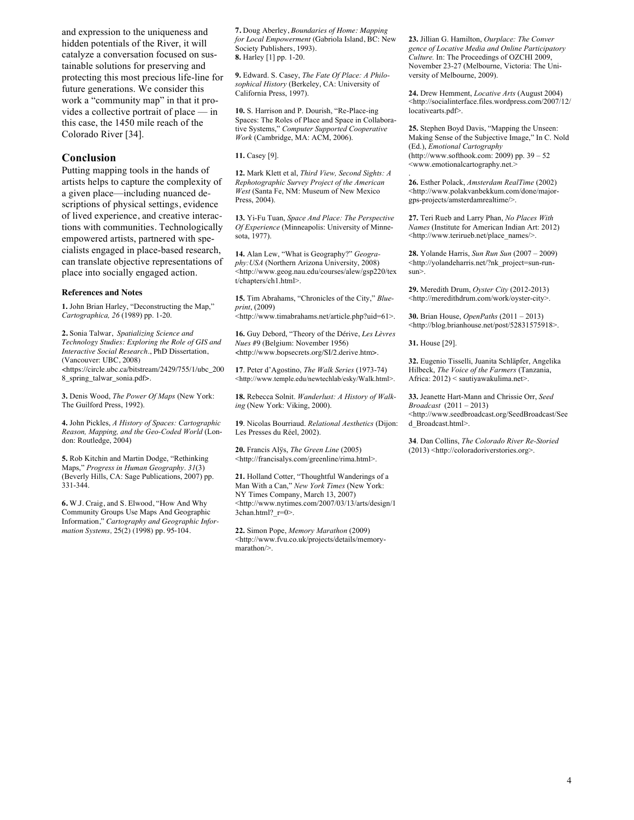and expression to the uniqueness and hidden potentials of the River, it will catalyze a conversation focused on sustainable solutions for preserving and protecting this most precious life-line for future generations. We consider this work a "community map" in that it provides a collective portrait of place — in this case, the 1450 mile reach of the Colorado River [34].

## **Conclusion**

Putting mapping tools in the hands of artists helps to capture the complexity of a given place—including nuanced descriptions of physical settings, evidence of lived experience, and creative interactions with communities. Technologically empowered artists, partnered with specialists engaged in place-based research, can translate objective representations of place into socially engaged action.

#### **References and Notes**

**1.** John Brian Harley, "Deconstructing the Map," *Cartographica, 26* (1989) pp. 1-20.

**2.** Sonia Talwar, *Spatializing Science and Technology Studies: Exploring the Role of GIS and Interactive Social Research.*, PhD Dissertation, (Vancouver: UBC, 2008) <https://circle.ubc.ca/bitstream/2429/755/1/ubc\_200 8\_spring\_talwar\_sonia.pdf>.

**3.** Denis Wood, *The Power Of Maps* (New York: The Guilford Press, 1992).

**4.** John Pickles, *A History of Spaces: Cartographic Reason, Mapping, and the Geo-Coded World* (London: Routledge, 2004)

**5.** Rob Kitchin and Martin Dodge, "Rethinking Maps," *Progress in Human Geography*. *31*(3) (Beverly Hills, CA: Sage Publications, 2007) pp. 331-344.

**6.** W.J. Craig, and S. Elwood, "How And Why Community Groups Use Maps And Geographic Information," *Cartography and Geographic Information Systems,* 25(2) (1998) pp. 95-104.

**7.** Doug Aberley, *Boundaries of Home: Mapping for Local Empowerment* (Gabriola Island, BC: New Society Publishers, 1993). **8.** Harley [1] pp. 1-20.

**9.** Edward. S. Casey, *The Fate Of Place: A Philosophical History* (Berkeley, CA: University of California Press, 1997).

**10.** S. Harrison and P. Dourish, "Re-Place-ing Spaces: The Roles of Place and Space in Collaborative Systems," *Computer Supported Cooperative Work* (Cambridge, MA: ACM, 2006).

**11.** Casey [9].

**12.** Mark Klett et al, *Third View, Second Sights: A Rephotographic Survey Project of the American West* (Santa Fe, NM: Museum of New Mexico Press, 2004).

**13.** Yi-Fu Tuan, *Space And Place: The Perspective Of Experience* (Minneapolis: University of Minnesota, 1977).

**14.** Alan Lew, "What is Geography?" *Geography:USA* (Northern Arizona University, 2008) <http://www.geog.nau.edu/courses/alew/gsp220/tex t/chapters/ch1.html>.

**15.** Tim Abrahams, "Chronicles of the City," *Blueprint*, (2009)

<http://www.timabrahams.net/article.php?uid=61>.

**16.** Guy Debord, "Theory of the Dérive, *Les Lèvres Nues* #9 (Belgium: November 1956) <http://www.bopsecrets.org/SI/2.derive.htm>.

**17**. Peter d'Agostino, *The Walk Series* (1973-74) <http://www.temple.edu/newtechlab/esky/Walk.html>.

**18.** Rebecca Solnit. *Wanderlust: A History of Walking* (New York: Viking, 2000).

**19**. Nicolas Bourriaud. *Relational Aesthetics* (Dijon: Les Presses du Réel, 2002).

**20.** Francis Alÿs, *The Green Line* (2005) <http://francisalys.com/greenline/rima.html>.

**21.** Holland Cotter, "Thoughtful Wanderings of a Man With a Can," *New York Times* (New York: NY Times Company, March 13, 2007) <http://www.nytimes.com/2007/03/13/arts/design/1  $3$ chan.html? $r=0$ >.

**22.** Simon Pope, *Memory Marathon* (2009) <http://www.fvu.co.uk/projects/details/memorymarathon/>.

**23.** Jillian G. Hamilton, *Ourplace: The Conver gence of Locative Media and Online Participatory Culture.* In: The Proceedings of OZCHI 2009, November 23-27 (Melbourne, Victoria: The University of Melbourne, 2009).

**24.** Drew Hemment, *Locative Arts* (August 2004) <http://socialinterface.files.wordpress.com/2007/12/ locativearts.pdf>.

**25.** Stephen Boyd Davis, "Mapping the Unseen: Making Sense of the Subjective Image," In C. Nold (Ed.), *Emotional Cartography* (http://www.softhook.com: 2009) pp. 39 – 52 <www.emotionalcartography.net.>

. **26.** Esther Polack, *Amsterdam RealTime* (2002) <http://www.polakvanbekkum.com/done/majorgps-projects/amsterdamrealtime/>.

**27.** Teri Rueb and Larry Phan, *No Places With Names* (Institute for American Indian Art: 2012) <http://www.terirueb.net/place\_names/>.

**28.** Yolande Harris, *Sun Run Sun* (2007 – 2009) <http://yolandeharris.net/?nk\_project=sun-runsun>.

**29.** Meredith Drum, *Oyster City* (2012-2013) <http://meredithdrum.com/work/oyster-city>.

**30.** Brian House, *OpenPaths* (2011 – 2013) <http://blog.brianhouse.net/post/52831575918>.

**31.** House [29].

**32.** Eugenio Tisselli, Juanita Schläpfer, Angelika Hilbeck, *The Voice of the Farmers* (Tanzania, Africa: 2012) < sautiyawakulima.net>.

**33.** Jeanette Hart-Mann and Chrissie Orr, *Seed Broadcast* (2011 – 2013) <http://www.seedbroadcast.org/SeedBroadcast/See d\_Broadcast.html>.

**34**. Dan Collins, *The Colorado River Re-Storied* (2013) <http://coloradoriverstories.org>.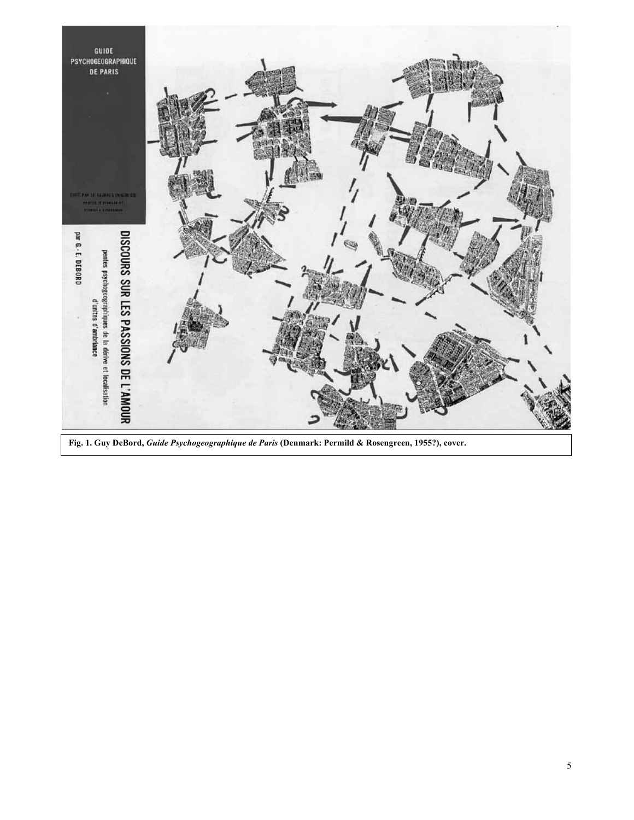